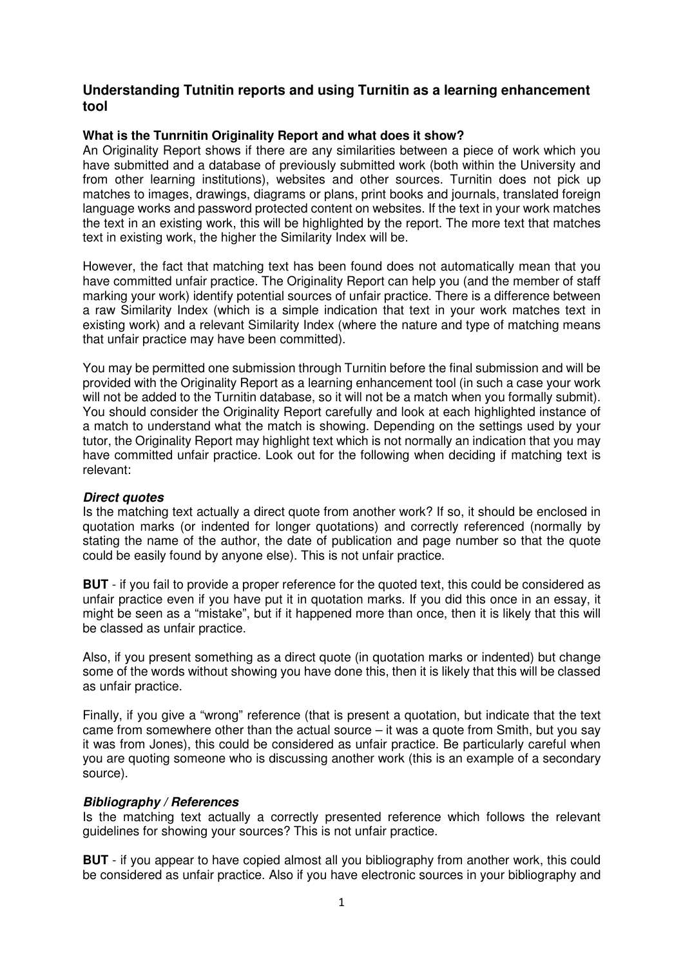# **Understanding Tutnitin reports and using Turnitin as a learning enhancement tool**

## **What is the Tunrnitin Originality Report and what does it show?**

An Originality Report shows if there are any similarities between a piece of work which you have submitted and a database of previously submitted work (both within the University and from other learning institutions), websites and other sources. Turnitin does not pick up matches to images, drawings, diagrams or plans, print books and journals, translated foreign language works and password protected content on websites. If the text in your work matches the text in an existing work, this will be highlighted by the report. The more text that matches text in existing work, the higher the Similarity Index will be.

However, the fact that matching text has been found does not automatically mean that you have committed unfair practice. The Originality Report can help you (and the member of staff marking your work) identify potential sources of unfair practice. There is a difference between a raw Similarity Index (which is a simple indication that text in your work matches text in existing work) and a relevant Similarity Index (where the nature and type of matching means that unfair practice may have been committed).

You may be permitted one submission through Turnitin before the final submission and will be provided with the Originality Report as a learning enhancement tool (in such a case your work will not be added to the Turnitin database, so it will not be a match when you formally submit). You should consider the Originality Report carefully and look at each highlighted instance of a match to understand what the match is showing. Depending on the settings used by your tutor, the Originality Report may highlight text which is not normally an indication that you may have committed unfair practice. Look out for the following when deciding if matching text is relevant:

### **Direct quotes**

Is the matching text actually a direct quote from another work? If so, it should be enclosed in quotation marks (or indented for longer quotations) and correctly referenced (normally by stating the name of the author, the date of publication and page number so that the quote could be easily found by anyone else). This is not unfair practice.

**BUT** - if you fail to provide a proper reference for the quoted text, this could be considered as unfair practice even if you have put it in quotation marks. If you did this once in an essay, it might be seen as a "mistake", but if it happened more than once, then it is likely that this will be classed as unfair practice.

Also, if you present something as a direct quote (in quotation marks or indented) but change some of the words without showing you have done this, then it is likely that this will be classed as unfair practice.

Finally, if you give a "wrong" reference (that is present a quotation, but indicate that the text came from somewhere other than the actual source – it was a quote from Smith, but you say it was from Jones), this could be considered as unfair practice. Be particularly careful when you are quoting someone who is discussing another work (this is an example of a secondary source).

### **Bibliography / References**

Is the matching text actually a correctly presented reference which follows the relevant guidelines for showing your sources? This is not unfair practice.

**BUT** - if you appear to have copied almost all you bibliography from another work, this could be considered as unfair practice. Also if you have electronic sources in your bibliography and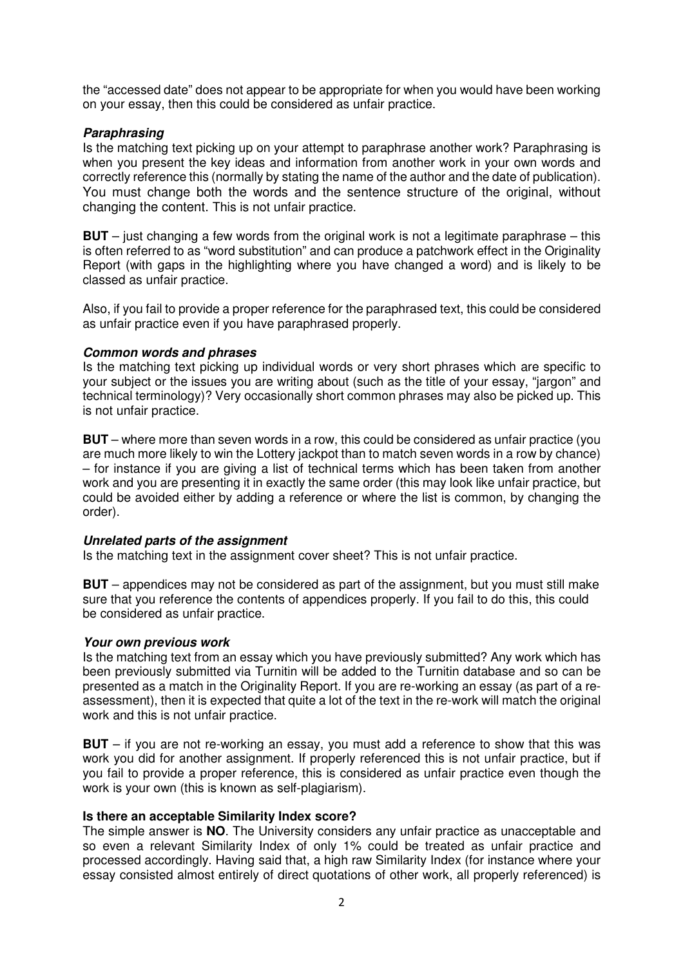the "accessed date" does not appear to be appropriate for when you would have been working on your essay, then this could be considered as unfair practice.

## **Paraphrasing**

Is the matching text picking up on your attempt to paraphrase another work? Paraphrasing is when you present the key ideas and information from another work in your own words and correctly reference this (normally by stating the name of the author and the date of publication). You must change both the words and the sentence structure of the original, without changing the content. This is not unfair practice.

**BUT** – just changing a few words from the original work is not a legitimate paraphrase – this is often referred to as "word substitution" and can produce a patchwork effect in the Originality Report (with gaps in the highlighting where you have changed a word) and is likely to be classed as unfair practice.

Also, if you fail to provide a proper reference for the paraphrased text, this could be considered as unfair practice even if you have paraphrased properly.

### **Common words and phrases**

Is the matching text picking up individual words or very short phrases which are specific to your subject or the issues you are writing about (such as the title of your essay, "jargon" and technical terminology)? Very occasionally short common phrases may also be picked up. This is not unfair practice.

**BUT** – where more than seven words in a row, this could be considered as unfair practice (you are much more likely to win the Lottery jackpot than to match seven words in a row by chance) – for instance if you are giving a list of technical terms which has been taken from another work and you are presenting it in exactly the same order (this may look like unfair practice, but could be avoided either by adding a reference or where the list is common, by changing the order).

## **Unrelated parts of the assignment**

Is the matching text in the assignment cover sheet? This is not unfair practice.

**BUT** – appendices may not be considered as part of the assignment, but you must still make sure that you reference the contents of appendices properly. If you fail to do this, this could be considered as unfair practice.

### **Your own previous work**

Is the matching text from an essay which you have previously submitted? Any work which has been previously submitted via Turnitin will be added to the Turnitin database and so can be presented as a match in the Originality Report. If you are re-working an essay (as part of a reassessment), then it is expected that quite a lot of the text in the re-work will match the original work and this is not unfair practice.

**BUT** – if you are not re-working an essay, you must add a reference to show that this was work you did for another assignment. If properly referenced this is not unfair practice, but if you fail to provide a proper reference, this is considered as unfair practice even though the work is your own (this is known as self-plagiarism).

### **Is there an acceptable Similarity Index score?**

The simple answer is **NO**. The University considers any unfair practice as unacceptable and so even a relevant Similarity Index of only 1% could be treated as unfair practice and processed accordingly. Having said that, a high raw Similarity Index (for instance where your essay consisted almost entirely of direct quotations of other work, all properly referenced) is